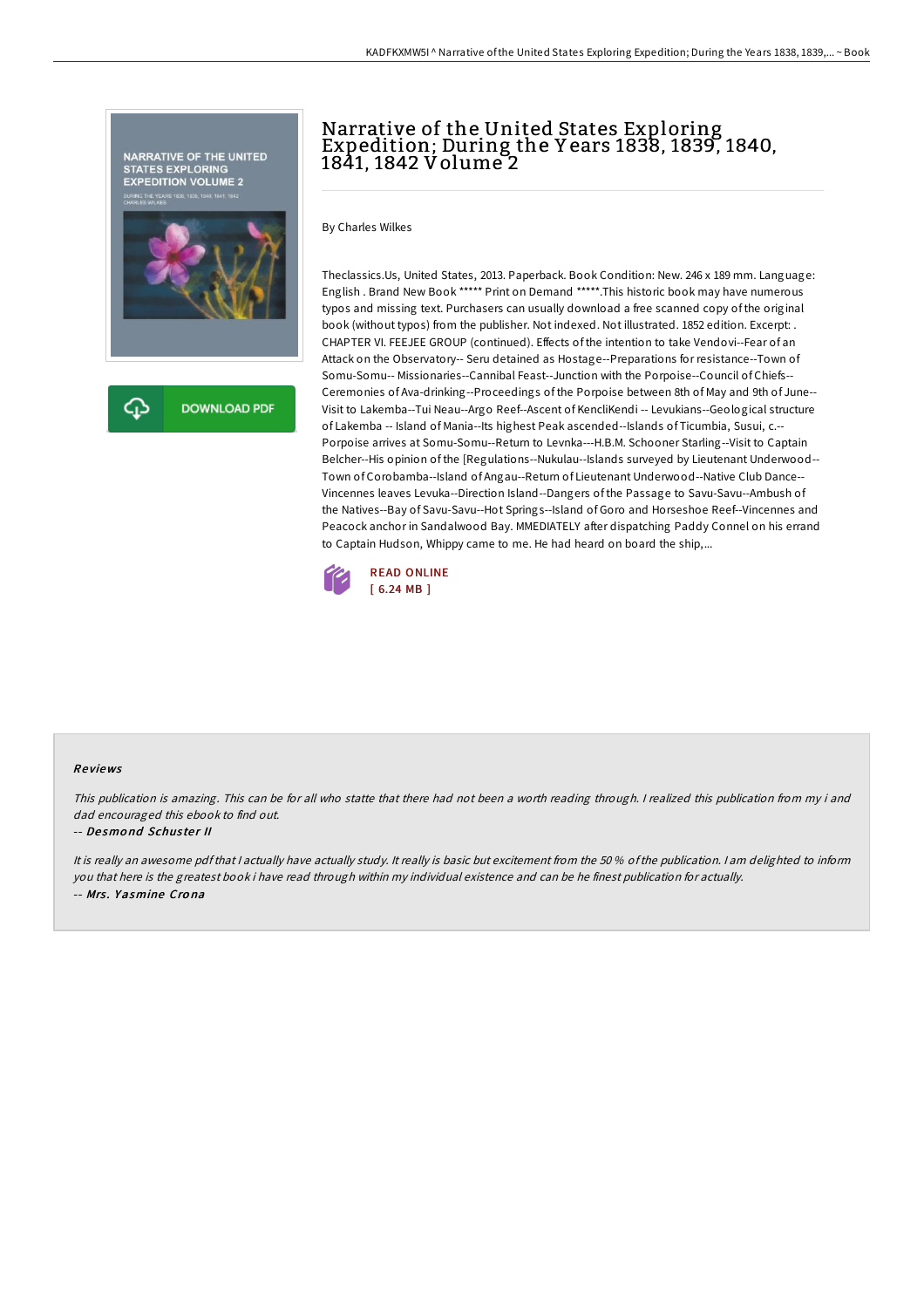

# Narrative of the United States Exploring Expedition; During the Y ears 1838, 1839, 1840, 1841, 1842 Volume 2

By Charles Wilkes

Theclassics.Us, United States, 2013. Paperback. Book Condition: New. 246 x 189 mm. Language: English . Brand New Book \*\*\*\*\* Print on Demand \*\*\*\*\*.This historic book may have numerous typos and missing text. Purchasers can usually download a free scanned copy of the original book (without typos) from the publisher. Not indexed. Not illustrated. 1852 edition. Excerpt: . CHAPTER VI. FEEJEE GROUP (continued). Effects of the intention to take Vendovi--Fear of an Attack on the Observatory-- Seru detained as Hostage--Preparations for resistance--Town of Somu-Somu-- Missionaries--Cannibal Feast--Junction with the Porpoise--Council of Chiefs-- Ceremonies of Ava-drinking--Proceedings of the Porpoise between 8th of May and 9th of June-- Visit to Lakemba--Tui Neau--Argo Reef--Ascent of KencliKendi -- Levukians--Geological structure of Lakemba -- Island of Mania--Its highest Peak ascended--Islands of Ticumbia, Susui, c.-- Porpoise arrives at Somu-Somu--Return to Levnka---H.B.M. Schooner Starling--Visit to Captain Belcher--His opinion of the [Regulations--Nukulau--Islands surveyed by Lieutenant Underwood-- Town of Corobamba--Island of Angau--Return of Lieutenant Underwood--Native Club Dance-- Vincennes leaves Levuka--Direction Island--Dangers of the Passage to Savu-Savu--Ambush of the Natives--Bay of Savu-Savu--Hot Springs--Island of Goro and Horseshoe Reef--Vincennes and Peacock anchor in Sandalwood Bay. MMEDIATELY after dispatching Paddy Connel on his errand to Captain Hudson, Whippy came to me. He had heard on board the ship,...



#### Re views

This publication is amazing. This can be for all who statte that there had not been <sup>a</sup> worth reading through. <sup>I</sup> realized this publication from my i and dad encouraged this ebook to find out.

#### -- De smo nd Schus te <sup>r</sup> II

It is really an awesome pdfthat <sup>I</sup> actually have actually study. It really is basic but excitement from the 50 % ofthe publication. <sup>I</sup> am delighted to inform you that here is the greatest book i have read through within my individual existence and can be he finest publication for actually. -- Mrs. Yasmine Crona